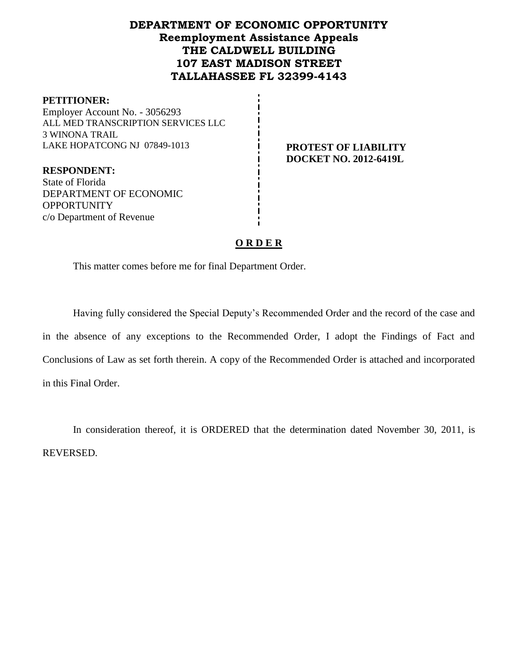# **DEPARTMENT OF ECONOMIC OPPORTUNITY Reemployment Assistance Appeals THE CALDWELL BUILDING 107 EAST MADISON STREET TALLAHASSEE FL 32399-4143**

#### **PETITIONER:**

Employer Account No. - 3056293 ALL MED TRANSCRIPTION SERVICES LLC 3 WINONA TRAIL LAKE HOPATCONG NJ 07849-1013 **PROTEST OF LIABILITY** 

**DOCKET NO. 2012-6419L**

**RESPONDENT:** State of Florida DEPARTMENT OF ECONOMIC **OPPORTUNITY** c/o Department of Revenue

# **O R D E R**

This matter comes before me for final Department Order.

Having fully considered the Special Deputy's Recommended Order and the record of the case and in the absence of any exceptions to the Recommended Order, I adopt the Findings of Fact and Conclusions of Law as set forth therein. A copy of the Recommended Order is attached and incorporated in this Final Order.

In consideration thereof, it is ORDERED that the determination dated November 30, 2011, is REVERSED.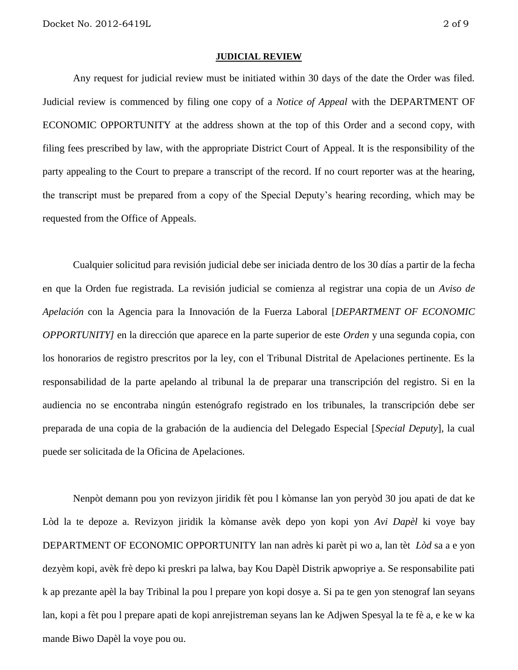#### **JUDICIAL REVIEW**

Any request for judicial review must be initiated within 30 days of the date the Order was filed. Judicial review is commenced by filing one copy of a *Notice of Appeal* with the DEPARTMENT OF ECONOMIC OPPORTUNITY at the address shown at the top of this Order and a second copy, with filing fees prescribed by law, with the appropriate District Court of Appeal. It is the responsibility of the party appealing to the Court to prepare a transcript of the record. If no court reporter was at the hearing, the transcript must be prepared from a copy of the Special Deputy's hearing recording, which may be requested from the Office of Appeals.

Cualquier solicitud para revisión judicial debe ser iniciada dentro de los 30 días a partir de la fecha en que la Orden fue registrada. La revisión judicial se comienza al registrar una copia de un *Aviso de Apelación* con la Agencia para la Innovación de la Fuerza Laboral [*DEPARTMENT OF ECONOMIC OPPORTUNITY]* en la dirección que aparece en la parte superior de este *Orden* y una segunda copia, con los honorarios de registro prescritos por la ley, con el Tribunal Distrital de Apelaciones pertinente. Es la responsabilidad de la parte apelando al tribunal la de preparar una transcripción del registro. Si en la audiencia no se encontraba ningún estenógrafo registrado en los tribunales, la transcripción debe ser preparada de una copia de la grabación de la audiencia del Delegado Especial [*Special Deputy*], la cual puede ser solicitada de la Oficina de Apelaciones.

Nenpòt demann pou yon revizyon jiridik fèt pou l kòmanse lan yon peryòd 30 jou apati de dat ke Lòd la te depoze a. Revizyon jiridik la kòmanse avèk depo yon kopi yon *Avi Dapèl* ki voye bay DEPARTMENT OF ECONOMIC OPPORTUNITY lan nan adrès ki parèt pi wo a, lan tèt *Lòd* sa a e yon dezyèm kopi, avèk frè depo ki preskri pa lalwa, bay Kou Dapèl Distrik apwopriye a. Se responsabilite pati k ap prezante apèl la bay Tribinal la pou l prepare yon kopi dosye a. Si pa te gen yon stenograf lan seyans lan, kopi a fèt pou l prepare apati de kopi anrejistreman seyans lan ke Adjwen Spesyal la te fè a, e ke w ka mande Biwo Dapèl la voye pou ou.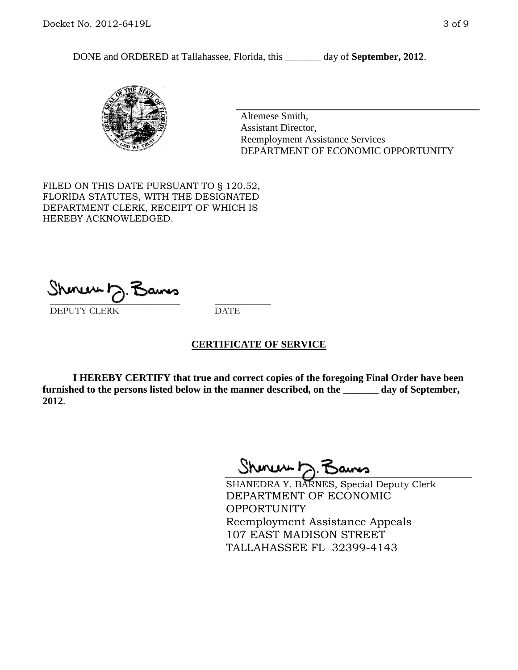DONE and ORDERED at Tallahassee, Florida, this \_\_\_\_\_\_\_ day of **September, 2012**.



Altemese Smith, Assistant Director, Reemployment Assistance Services DEPARTMENT OF ECONOMIC OPPORTUNITY

FILED ON THIS DATE PURSUANT TO § 120.52, FLORIDA STATUTES, WITH THE DESIGNATED DEPARTMENT CLERK, RECEIPT OF WHICH IS HEREBY ACKNOWLEDGED.

 $\mathcal{S}$ hmun $\mapsto$   $\mathcal{S}$ amo DEPUTY CLERK DATE

#### **CERTIFICATE OF SERVICE**

**I HEREBY CERTIFY that true and correct copies of the foregoing Final Order have been furnished to the persons listed below in the manner described, on the \_\_\_\_\_\_\_ day of September, 2012**.

Shinuu h.

SHANEDRA Y. BARNES, Special Deputy Clerk DEPARTMENT OF ECONOMIC **OPPORTUNITY** Reemployment Assistance Appeals 107 EAST MADISON STREET TALLAHASSEE FL 32399-4143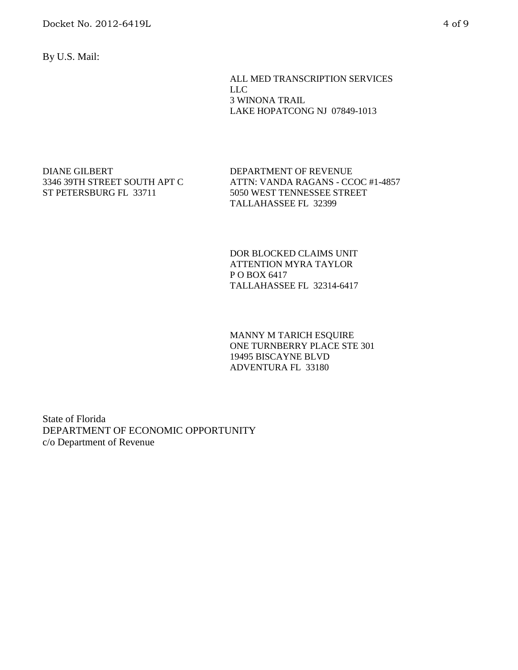Docket No. 2012-6419L 4 of 9

By U.S. Mail:

ALL MED TRANSCRIPTION SERVICES LLC 3 WINONA TRAIL LAKE HOPATCONG NJ 07849-1013

DIANE GILBERT 3346 39TH STREET SOUTH APT C ST PETERSBURG FL 33711

DEPARTMENT OF REVENUE ATTN: VANDA RAGANS - CCOC #1-4857 5050 WEST TENNESSEE STREET TALLAHASSEE FL 32399

DOR BLOCKED CLAIMS UNIT ATTENTION MYRA TAYLOR P O BOX 6417 TALLAHASSEE FL 32314-6417

MANNY M TARICH ESQUIRE ONE TURNBERRY PLACE STE 301 19495 BISCAYNE BLVD ADVENTURA FL 33180

State of Florida DEPARTMENT OF ECONOMIC OPPORTUNITY c/o Department of Revenue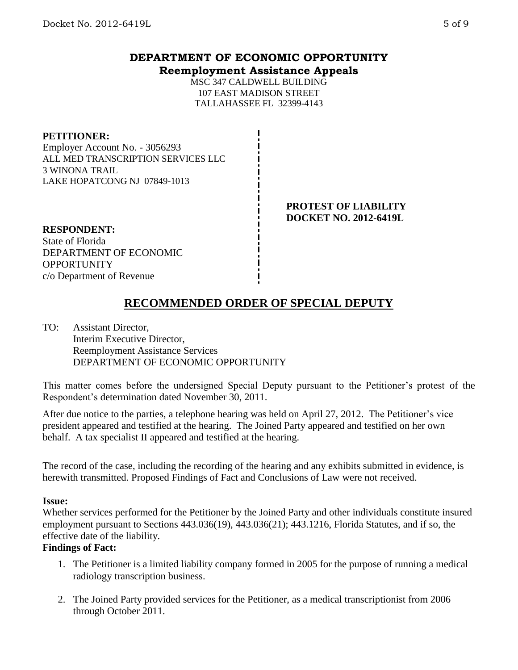# **DEPARTMENT OF ECONOMIC OPPORTUNITY Reemployment Assistance Appeals**

MSC 347 CALDWELL BUILDING 107 EAST MADISON STREET TALLAHASSEE FL 32399-4143

#### **PETITIONER:**

Employer Account No. - 3056293 ALL MED TRANSCRIPTION SERVICES LLC 3 WINONA TRAIL LAKE HOPATCONG NJ 07849-1013

#### **PROTEST OF LIABILITY DOCKET NO. 2012-6419L**

**RESPONDENT:** State of Florida DEPARTMENT OF ECONOMIC **OPPORTUNITY** c/o Department of Revenue

# **RECOMMENDED ORDER OF SPECIAL DEPUTY**

TO: Assistant Director, Interim Executive Director, Reemployment Assistance Services DEPARTMENT OF ECONOMIC OPPORTUNITY

This matter comes before the undersigned Special Deputy pursuant to the Petitioner's protest of the Respondent's determination dated November 30, 2011.

After due notice to the parties, a telephone hearing was held on April 27, 2012. The Petitioner's vice president appeared and testified at the hearing. The Joined Party appeared and testified on her own behalf. A tax specialist II appeared and testified at the hearing.

The record of the case, including the recording of the hearing and any exhibits submitted in evidence, is herewith transmitted. Proposed Findings of Fact and Conclusions of Law were not received.

# **Issue:**

Whether services performed for the Petitioner by the Joined Party and other individuals constitute insured employment pursuant to Sections 443.036(19), 443.036(21); 443.1216, Florida Statutes, and if so, the effective date of the liability.

# **Findings of Fact:**

- 1. The Petitioner is a limited liability company formed in 2005 for the purpose of running a medical radiology transcription business.
- 2. The Joined Party provided services for the Petitioner, as a medical transcriptionist from 2006 through October 2011.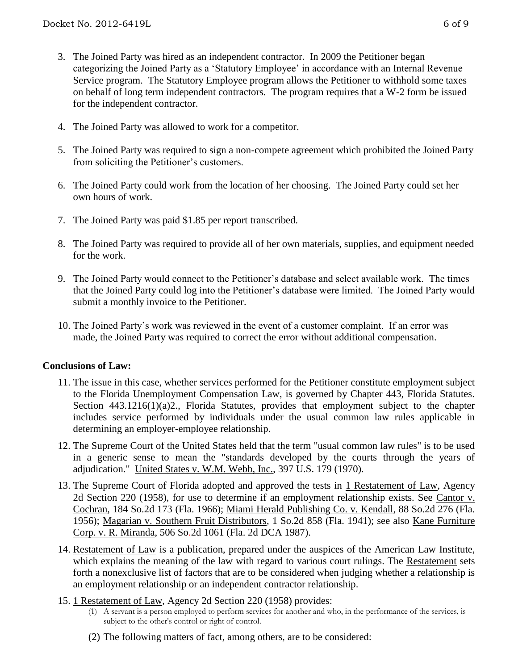- 3. The Joined Party was hired as an independent contractor. In 2009 the Petitioner began categorizing the Joined Party as a 'Statutory Employee' in accordance with an Internal Revenue Service program. The Statutory Employee program allows the Petitioner to withhold some taxes on behalf of long term independent contractors. The program requires that a W-2 form be issued for the independent contractor.
- 4. The Joined Party was allowed to work for a competitor.
- 5. The Joined Party was required to sign a non-compete agreement which prohibited the Joined Party from soliciting the Petitioner's customers.
- 6. The Joined Party could work from the location of her choosing. The Joined Party could set her own hours of work.
- 7. The Joined Party was paid \$1.85 per report transcribed.
- 8. The Joined Party was required to provide all of her own materials, supplies, and equipment needed for the work.
- 9. The Joined Party would connect to the Petitioner's database and select available work. The times that the Joined Party could log into the Petitioner's database were limited. The Joined Party would submit a monthly invoice to the Petitioner.
- 10. The Joined Party's work was reviewed in the event of a customer complaint. If an error was made, the Joined Party was required to correct the error without additional compensation.

# **Conclusions of Law:**

- 11. The issue in this case, whether services performed for the Petitioner constitute employment subject to the Florida Unemployment Compensation Law, is governed by Chapter 443, Florida Statutes. Section 443.1216(1)(a)2., Florida Statutes, provides that employment subject to the chapter includes service performed by individuals under the usual common law rules applicable in determining an employer-employee relationship.
- 12. The Supreme Court of the United States held that the term "usual common law rules" is to be used in a generic sense to mean the "standards developed by the courts through the years of adjudication." United States v. W.M. Webb, Inc., 397 U.S. 179 (1970).
- 13. The Supreme Court of Florida adopted and approved the tests in 1 Restatement of Law, Agency 2d Section 220 (1958), for use to determine if an employment relationship exists. See Cantor v. Cochran, 184 So.2d 173 (Fla. 1966); Miami Herald Publishing Co. v. Kendall, 88 So.2d 276 (Fla. 1956); Magarian v. Southern Fruit Distributors, 1 So.2d 858 (Fla. 1941); see also Kane Furniture Corp. v. R. Miranda, 506 So.2d 1061 (Fla. 2d DCA 1987).
- 14. Restatement of Law is a publication, prepared under the auspices of the American Law Institute, which explains the meaning of the law with regard to various court rulings. The Restatement sets forth a nonexclusive list of factors that are to be considered when judging whether a relationship is an employment relationship or an independent contractor relationship.
- 15. 1 Restatement of Law, Agency 2d Section 220 (1958) provides:
	- (1) A servant is a person employed to perform services for another and who, in the performance of the services, is subject to the other's control or right of control.
	- (2) The following matters of fact, among others, are to be considered: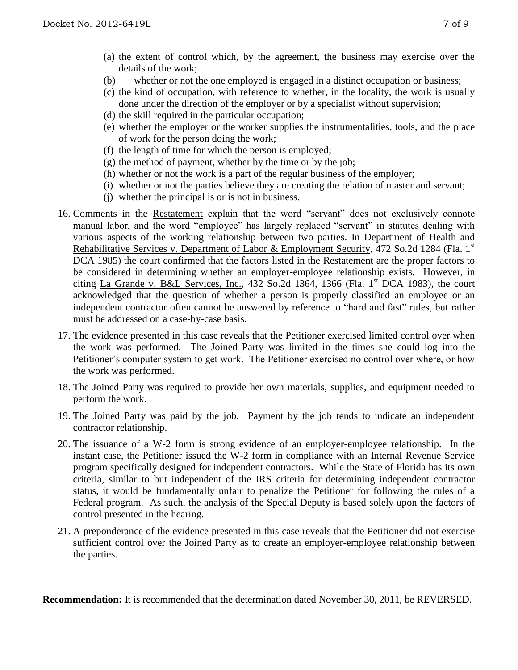- (b) whether or not the one employed is engaged in a distinct occupation or business;
- (c) the kind of occupation, with reference to whether, in the locality, the work is usually done under the direction of the employer or by a specialist without supervision;
- (d) the skill required in the particular occupation;
- (e) whether the employer or the worker supplies the instrumentalities, tools, and the place of work for the person doing the work;
- (f) the length of time for which the person is employed;
- (g) the method of payment, whether by the time or by the job;
- (h) whether or not the work is a part of the regular business of the employer;
- (i) whether or not the parties believe they are creating the relation of master and servant;
- (j) whether the principal is or is not in business.
- 16. Comments in the Restatement explain that the word "servant" does not exclusively connote manual labor, and the word "employee" has largely replaced "servant" in statutes dealing with various aspects of the working relationship between two parties. In Department of Health and Rehabilitative Services v. Department of Labor & Employment Security, 472 So.2d 1284 (Fla. 1st DCA 1985) the court confirmed that the factors listed in the Restatement are the proper factors to be considered in determining whether an employer-employee relationship exists. However, in citing La Grande v. B&L Services, Inc., 432 So.2d 1364, 1366 (Fla. 1st DCA 1983), the court acknowledged that the question of whether a person is properly classified an employee or an independent contractor often cannot be answered by reference to "hard and fast" rules, but rather must be addressed on a case-by-case basis.
- 17. The evidence presented in this case reveals that the Petitioner exercised limited control over when the work was performed. The Joined Party was limited in the times she could log into the Petitioner's computer system to get work. The Petitioner exercised no control over where, or how the work was performed.
- 18. The Joined Party was required to provide her own materials, supplies, and equipment needed to perform the work.
- 19. The Joined Party was paid by the job. Payment by the job tends to indicate an independent contractor relationship.
- 20. The issuance of a W-2 form is strong evidence of an employer-employee relationship. In the instant case, the Petitioner issued the W-2 form in compliance with an Internal Revenue Service program specifically designed for independent contractors. While the State of Florida has its own criteria, similar to but independent of the IRS criteria for determining independent contractor status, it would be fundamentally unfair to penalize the Petitioner for following the rules of a Federal program. As such, the analysis of the Special Deputy is based solely upon the factors of control presented in the hearing.
- 21. A preponderance of the evidence presented in this case reveals that the Petitioner did not exercise sufficient control over the Joined Party as to create an employer-employee relationship between the parties.

**Recommendation:** It is recommended that the determination dated November 30, 2011, be REVERSED.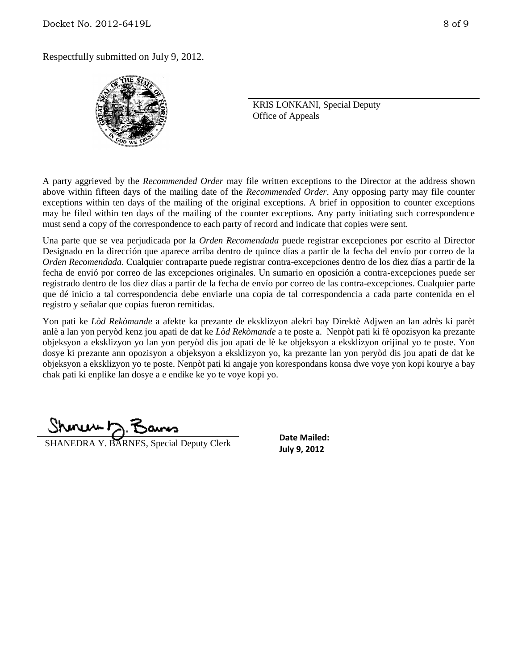Respectfully submitted on July 9, 2012.



KRIS LONKANI, Special Deputy Office of Appeals

A party aggrieved by the *Recommended Order* may file written exceptions to the Director at the address shown above within fifteen days of the mailing date of the *Recommended Order*. Any opposing party may file counter exceptions within ten days of the mailing of the original exceptions. A brief in opposition to counter exceptions may be filed within ten days of the mailing of the counter exceptions. Any party initiating such correspondence must send a copy of the correspondence to each party of record and indicate that copies were sent.

Una parte que se vea perjudicada por la *Orden Recomendada* puede registrar excepciones por escrito al Director Designado en la dirección que aparece arriba dentro de quince días a partir de la fecha del envío por correo de la *Orden Recomendada*. Cualquier contraparte puede registrar contra-excepciones dentro de los diez días a partir de la fecha de envió por correo de las excepciones originales. Un sumario en oposición a contra-excepciones puede ser registrado dentro de los diez días a partir de la fecha de envío por correo de las contra-excepciones. Cualquier parte que dé inicio a tal correspondencia debe enviarle una copia de tal correspondencia a cada parte contenida en el registro y señalar que copias fueron remitidas.

Yon pati ke *Lòd Rekòmande* a afekte ka prezante de eksklizyon alekri bay Direktè Adjwen an lan adrès ki parèt anlè a lan yon peryòd kenz jou apati de dat ke *Lòd Rekòmande* a te poste a. Nenpòt pati ki fè opozisyon ka prezante objeksyon a eksklizyon yo lan yon peryòd dis jou apati de lè ke objeksyon a eksklizyon orijinal yo te poste. Yon dosye ki prezante ann opozisyon a objeksyon a eksklizyon yo, ka prezante lan yon peryòd dis jou apati de dat ke objeksyon a eksklizyon yo te poste. Nenpòt pati ki angaje yon korespondans konsa dwe voye yon kopi kourye a bay chak pati ki enplike lan dosye a e endike ke yo te voye kopi yo.

سماسته

**SHANEDRA Y. BARNES, Special Deputy Clerk SHANEDRA Y. BARNES**, Special Deputy Clerk

**Date Mailed:**